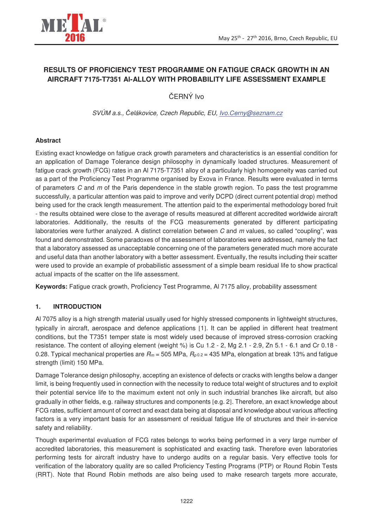

# **RESULTS OF PROFICIENCY TEST PROGRAMME ON FATIGUE CRACK GROWTH IN AN AIRCRAFT 7175-T7351 Al-ALLOY WITH PROBABILITY LIFE ASSESSMENT EXAMPLE**

ČERNÝ Ivo

SVÚM a.s., elákovice, Czech Republic, EU, Ivo.Cerny@seznam.cz

## **Abstract**

Existing exact knowledge on fatigue crack growth parameters and characteristics is an essential condition for an application of Damage Tolerance design philosophy in dynamically loaded structures. Measurement of fatigue crack growth (FCG) rates in an Al 7175-T7351 alloy of a particularly high homogeneity was carried out as a part of the Proficiency Test Programme organised by Exova in France. Results were evaluated in terms of parameters  $C$  and  $m$  of the Paris dependence in the stable growth region. To pass the test programme successfully, a particular attention was paid to improve and verify DCPD (direct current potential drop) method being used for the crack length measurement. The attention paid to the experimental methodology bored fruit - the results obtained were close to the average of results measured at different accredited worldwide aircraft laboratories. Additionally, the results of the FCG measurements generated by different participating laboratories were further analyzed. A distinct correlation between  $C$  and  $m$  values, so called "coupling", was found and demonstrated. Some paradoxes of the assessment of laboratories were addressed, namely the fact that a laboratory assessed as unacceptable concerning one of the parameters generated much more accurate and useful data than another laboratory with a better assessment. Eventually, the results including their scatter were used to provide an example of probabilistic assessment of a simple beam residual life to show practical actual impacts of the scatter on the life assessment.

**Keywords:** Fatigue crack growth, Proficiency Test Programme, Al 7175 alloy, probability assessment

## **1. INTRODUCTION**

Al 7075 alloy is a high strength material usually used for highly stressed components in lightweight structures, typically in aircraft, aerospace and defence applications [1]. It can be applied in different heat treatment conditions, but the T7351 temper state is most widely used because of improved stress-corrosion cracking resistance. The content of alloying element (weight %) is Cu 1.2 - 2, Mg 2.1 - 2.9, Zn 5.1 - 6.1 and Cr 0.18 - 0.28. Typical mechanical properties are  $R_m$  = 505 MPa,  $R_{p0.2}$  = 435 MPa, elongation at break 13% and fatigue strength (limit) 150 MPa.

Damage Tolerance design philosophy, accepting an existence of defects or cracks with lengths below a danger limit, is being frequently used in connection with the necessity to reduce total weight of structures and to exploit their potential service life to the maximum extent not only in such industrial branches like aircraft, but also gradually in other fields, e.g. railway structures and components [e.g. 2]. Therefore, an exact knowledge about FCG rates, sufficient amount of correct and exact data being at disposal and knowledge about various affecting factors is a very important basis for an assessment of residual fatigue life of structures and their in-service safety and reliability.

Though experimental evaluation of FCG rates belongs to works being performed in a very large number of accredited laboratories, this measurement is sophisticated and exacting task. Therefore even laboratories performing tests for aircraft industry have to undergo audits on a regular basis. Very effective tools for verification of the laboratory quality are so called Proficiency Testing Programs (PTP) or Round Robin Tests (RRT). Note that Round Robin methods are also being used to make research targets more accurate,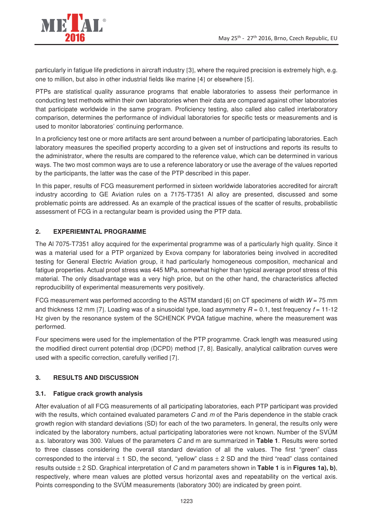

particularly in fatigue life predictions in aircraft industry [3], where the required precision is extremely high, e.g. one to million, but also in other industrial fields like marine [4] or elsewhere [5].

PTPs are statistical quality assurance programs that enable laboratories to assess their performance in conducting test methods within their own laboratories when their data are compared against other laboratories that participate worldwide in the same program. Proficiency testing, also called also called interlaboratory comparison, determines the performance of individual laboratories for specific tests or measurements and is used to monitor laboratories' continuing performance.

In a proficiency test one or more artifacts are sent around between a number of participating laboratories. Each laboratory measures the specified property according to a given set of instructions and reports its results to the administrator, where the results are compared to the reference value, which can be determined in various ways. The two most common ways are to use a reference laboratory or use the average of the values reported by the participants, the latter was the case of the PTP described in this paper.

In this paper, results of FCG measurement performed in sixteen worldwide laboratories accredited for aircraft industry according to GE Aviation rules on a 7175-T7351 Al alloy are presented, discussed and some problematic points are addressed. As an example of the practical issues of the scatter of results, probabilistic assessment of FCG in a rectangular beam is provided using the PTP data.

## **2. EXPERIEMNTAL PROGRAMME**

The Al 7075-T7351 alloy acquired for the experimental programme was of a particularly high quality. Since it was a material used for a PTP organized by Exova company for laboratories being involved in accredited testing for General Electric Aviation group, it had particularly homogeneous composition, mechanical and fatigue properties. Actual proof stress was 445 MPa, somewhat higher than typical average proof stress of this material. The only disadvantage was a very high price, but on the other hand, the characteristics affected reproducibility of experimental measurements very positively.

FCG measurement was performed according to the ASTM standard [6] on CT specimens of width  $W = 75$  mm and thickness 12 mm [7]. Loading was of a sinusoidal type, load asymmetry  $R = 0.1$ , test frequency  $f = 11-12$ Hz given by the resonance system of the SCHENCK PVQA fatigue machine, where the measurement was performed.

Four specimens were used for the implementation of the PTP programme. Crack length was measured using the modified direct current potential drop (DCPD) method [7, 8]. Basically, analytical calibration curves were used with a specific correction, carefully verified [7].

## **3. RESULTS AND DISCUSSION**

## **3.1. Fatigue crack growth analysis**

After evaluation of all FCG measurements of all participating laboratories, each PTP participant was provided with the results, which contained evaluated parameters  $C$  and  $m$  of the Paris dependence in the stable crack growth region with standard deviations (SD) for each of the two parameters. In general, the results only were indicated by the laboratory numbers, actual participating laboratories were not known. Number of the SVÚM a.s. laboratory was 300. Values of the parameters C and m are summarized in **Table 1**. Results were sorted to three classes considering the overall standard deviation of all the values. The first "green" class corresponded to the interval  $\pm$  1 SD, the second, "yellow" class  $\pm$  2 SD and the third "read" class contained results outside ± 2 SD. Graphical interpretation of C and m parameters shown in **Table 1** is in **Figures 1a), b)**, respectively, where mean values are plotted versus horizontal axes and repeatability on the vertical axis. Points corresponding to the SVÚM measurements (laboratory 300) are indicated by green point.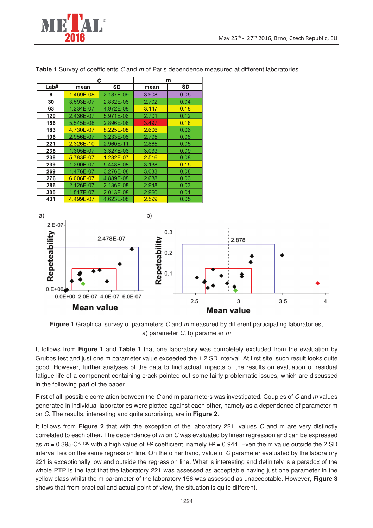

|      | С         |           | m     |      |
|------|-----------|-----------|-------|------|
| Lab# | mean      | SD        | mean  | SD   |
| 9    | 1.469E-08 | 2.187E-09 | 3.908 | 0.05 |
| 30   | 3.593E-07 | 2.832E-08 | 2.702 | 0.04 |
| 63   | 1.234E-07 | 4.972E-08 | 3.147 | 0.18 |
| 120  | 2.436E-07 | 5.971E-08 | 2.701 | 0.12 |
| 156  | 5.545E-08 | 2.896E-08 | 3.497 | 0.18 |
| 183  | 4.730E-07 | 8.225E-08 | 2.606 | 0.06 |
| 196  | 2.956E-07 | 6.233E-08 | 2.795 | 0.08 |
| 221  | 2.326E-10 | 2.960E-11 | 2.865 | 0.05 |
| 236  | 1.305E-07 | 3.327E-08 | 3.033 | 0.09 |
| 238  | 5.783E-07 | 1.282E-07 | 2.516 | 0.08 |
| 239  | 1.290E-07 | 5.448E-08 | 3.138 | 0.15 |
| 269  | 1.476E-07 | 3.276E-08 | 3.033 | 0.08 |
| 276  | 6.006E-07 | 4.889E-08 | 2.638 | 0.03 |
| 286  | 2.126E-07 | 2.136E-08 | 2.948 | 0.03 |
| 300  | 1.517E-07 | 2.013E-08 | 2.960 | 0.01 |
| 431  | 4.499E-07 | 4.623E-08 | 2.599 | 0.05 |

**Table 1** Survey of coefficients C and m of Paris dependence measured at different laboratories



**Figure 1** Graphical survey of parameters C and m measured by different participating laboratories, a) parameter  $C$ , b) parameter  $m$ 

It follows from **Figure 1** and **Table 1** that one laboratory was completely excluded from the evaluation by Grubbs test and just one m parameter value exceeded the  $\pm$  2 SD interval. At first site, such result looks quite good. However, further analyses of the data to find actual impacts of the results on evaluation of residual fatigue life of a component containing crack pointed out some fairly problematic issues, which are discussed in the following part of the paper.

First of all, possible correlation between the C and m parameters was investigated. Couples of C and m values generated in individual laboratories were plotted against each other, namely as a dependence of parameter m on C. The results, interesting and quite surprising, are in **Figure 2**.

It follows from **Figure 2** that with the exception of the laboratory 221, values C and m are very distinctly correlated to each other. The dependence of m on C was evaluated by linear regression and can be expressed as  $m$  = 0.395⋅C<sup>-0.130</sup> with a high value of  $R^2$  coefficient, namely  $R^2$  = 0.944. Even the m value outside the 2 SD interval lies on the same regression line. On the other hand, value of C parameter evaluated by the laboratory 221 is exceptionally low and outside the regression line. What is interesting and definitely is a paradox of the whole PTP is the fact that the laboratory 221 was assessed as acceptable having just one parameter in the yellow class whilst the m parameter of the laboratory 156 was assessed as unacceptable. However, **Figure 3** shows that from practical and actual point of view, the situation is quite different.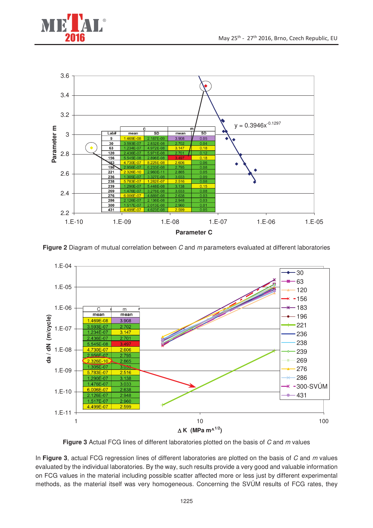



**Figure 2** Diagram of mutual correlation between C and m parameters evaluated at different laboratories



**Figure 3** Actual FCG lines of different laboratories plotted on the basis of C and m values

In **Figure 3**, actual FCG regression lines of different laboratories are plotted on the basis of C and m values evaluated by the individual laboratories. By the way, such results provide a very good and valuable information on FCG values in the material including possible scatter affected more or less just by different experimental methods, as the material itself was very homogeneous. Concerning the SVÚM results of FCG rates, they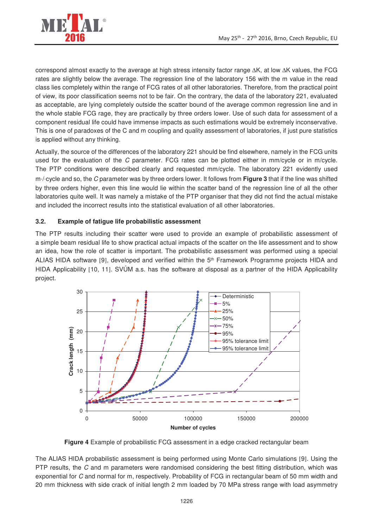

correspond almost exactly to the average at high stress intensity factor range ∆K, at low ∆K values, the FCG rates are slightly below the average. The regression line of the laboratory 156 with the m value in the read class lies completely within the range of FCG rates of all other laboratories. Therefore, from the practical point of view, its poor classification seems not to be fair. On the contrary, the data of the laboratory 221, evaluated as acceptable, are lying completely outside the scatter bound of the average common regression line and in the whole stable FCG rage, they are practically by three orders lower. Use of such data for assessment of a component residual life could have immense impacts as such estimations would be extremely inconservative. This is one of paradoxes of the C and m coupling and quality assessment of laboratories, if just pure statistics is applied without any thinking.

Actually, the source of the differences of the laboratory 221 should be find elsewhere, namely in the FCG units used for the evaluation of the C parameter. FCG rates can be plotted either in mm/cycle or in m/cycle. The PTP conditions were described clearly and requested mm/cycle. The laboratory 221 evidently used m⋅/⋅cycle and so, the C parameter was by three orders lower. It follows from **Figure 3** that if the line was shifted by three orders higher, even this line would lie within the scatter band of the regression line of all the other laboratories quite well. It was namely a mistake of the PTP organiser that they did not find the actual mistake and included the incorrect results into the statistical evaluation of all other laboratories.

#### **3.2. Example of fatigue life probabilistic assessment**

The PTP results including their scatter were used to provide an example of probabilistic assessment of a simple beam residual life to show practical actual impacts of the scatter on the life assessment and to show an idea, how the role of scatter is important. The probabilistic assessment was performed using a special ALIAS HIDA software [9], developed and verified within the 5<sup>th</sup> Framework Programme projects HIDA and HIDA Applicability [10, 11]. SVÚM a.s. has the software at disposal as a partner of the HIDA Applicability project.



**Figure 4** Example of probabilistic FCG assessment in a edge cracked rectangular beam

The ALIAS HIDA probabilistic assessment is being performed using Monte Carlo simulations [9]. Using the PTP results, the C and m parameters were randomised considering the best fitting distribution, which was exponential for C and normal for m, respectively. Probability of FCG in rectangular beam of 50 mm width and 20 mm thickness with side crack of initial length 2 mm loaded by 70 MPa stress range with load asymmetry